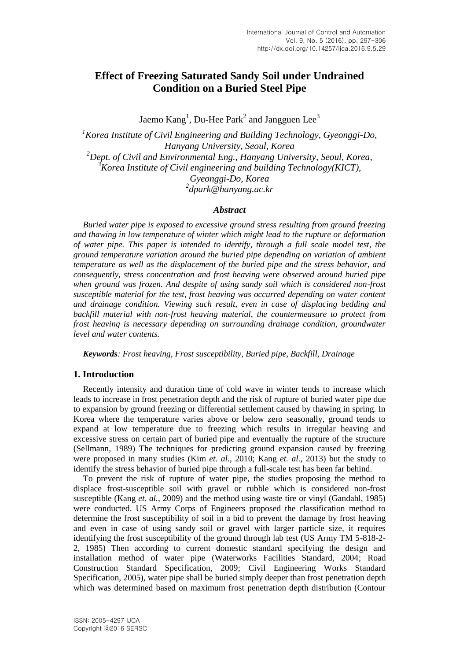# **Effect of Freezing Saturated Sandy Soil under Undrained Condition on a Buried Steel Pipe**

Jaemo  $\rm{Kang}^1$ , Du-Hee  $\rm{Park}^2$  and Jangguen Lee $^3$ 

*Korea Institute of Civil Engineering and Building Technology, Gyeonggi-Do, Hanyang University, Seoul, Korea Dept. of Civil and Environmental Eng., Hanyang University, Seoul, Korea, Korea Institute of Civil engineering and building Technology(KICT), Gyeonggi-Do, Korea dpark@hanyang.ac.kr*

### *Abstract*

*Buried water pipe is exposed to excessive ground stress resulting from ground freezing and thawing in low temperature of winter which might lead to the rupture or deformation of water pipe. This paper is intended to identify, through a full scale model test, the ground temperature variation around the buried pipe depending on variation of ambient temperature as well as the displacement of the buried pipe and the stress behavior, and consequently, stress concentration and frost heaving were observed around buried pipe when ground was frozen. And despite of using sandy soil which is considered non-frost susceptible material for the test, frost heaving was occurred depending on water content and drainage condition. Viewing such result, even in case of displacing bedding and backfill material with non-frost heaving material, the countermeasure to protect from frost heaving is necessary depending on surrounding drainage condition, groundwater level and water contents.*

*Keywords: Frost heaving, Frost susceptibility, Buried pipe, Backfill, Drainage* 

# **1. Introduction**

Recently intensity and duration time of cold wave in winter tends to increase which leads to increase in frost penetration depth and the risk of rupture of buried water pipe due to expansion by ground freezing or differential settlement caused by thawing in spring. In Korea where the temperature varies above or below zero seasonally, ground tends to expand at low temperature due to freezing which results in irregular heaving and excessive stress on certain part of buried pipe and eventually the rupture of the structure (Sellmann, 1989) The techniques for predicting ground expansion caused by freezing were proposed in many studies (Kim *et. al.*, 2010; Kang *et. al.*, 2013) but the study to identify the stress behavior of buried pipe through a full-scale test has been far behind.

To prevent the risk of rupture of water pipe, the studies proposing the method to displace frost-susceptible soil with gravel or rubble which is considered non-frost susceptible (Kang *et. al.*, 2009) and the method using waste tire or vinyl (Gandahl, 1985) were conducted. US Army Corps of Engineers proposed the classification method to determine the frost susceptibility of soil in a bid to prevent the damage by frost heaving and even in case of using sandy soil or gravel with larger particle size, it requires identifying the frost susceptibility of the ground through lab test (US Army TM 5-818-2- 2, 1985) Then according to current domestic standard specifying the design and installation method of water pipe (Waterworks Facilities Standard, 2004; Road Construction Standard Specification, 2009; Civil Engineering Works Standard Specification, 2005), water pipe shall be buried simply deeper than frost penetration depth which was determined based on maximum frost penetration depth distribution (Contour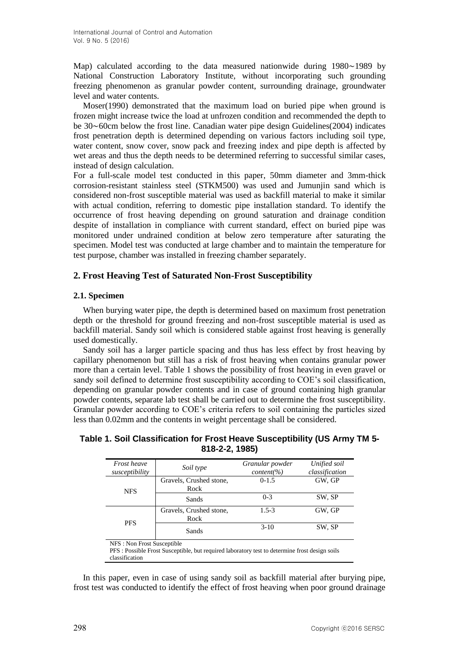Map) calculated according to the data measured nationwide during 1980∼1989 by National Construction Laboratory Institute, without incorporating such grounding freezing phenomenon as granular powder content, surrounding drainage, groundwater level and water contents.

Moser(1990) demonstrated that the maximum load on buried pipe when ground is frozen might increase twice the load at unfrozen condition and recommended the depth to be 30∼60cm below the frost line. Canadian water pipe design Guidelines(2004) indicates frost penetration depth is determined depending on various factors including soil type, water content, snow cover, snow pack and freezing index and pipe depth is affected by wet areas and thus the depth needs to be determined referring to successful similar cases, instead of design calculation.

For a full-scale model test conducted in this paper, 50mm diameter and 3mm-thick corrosion-resistant stainless steel (STKM500) was used and Jumunjin sand which is considered non-frost susceptible material was used as backfill material to make it similar with actual condition, referring to domestic pipe installation standard. To identify the occurrence of frost heaving depending on ground saturation and drainage condition despite of installation in compliance with current standard, effect on buried pipe was monitored under undrained condition at below zero temperature after saturating the specimen. Model test was conducted at large chamber and to maintain the temperature for test purpose, chamber was installed in freezing chamber separately.

# **2. Frost Heaving Test of Saturated Non-Frost Susceptibility**

# **2.1. Specimen**

When burying water pipe, the depth is determined based on maximum frost penetration depth or the threshold for ground freezing and non-frost susceptible material is used as backfill material. Sandy soil which is considered stable against frost heaving is generally used domestically.

Sandy soil has a larger particle spacing and thus has less effect by frost heaving by capillary phenomenon but still has a risk of frost heaving when contains granular power more than a certain level. Table 1 shows the possibility of frost heaving in even gravel or sandy soil defined to determine frost susceptibility according to COE's soil classification, depending on granular powder contents and in case of ground containing high granular powder contents, separate lab test shall be carried out to determine the frost susceptibility. Granular powder according to COE's criteria refers to soil containing the particles sized less than 0.02mm and the contents in weight percentage shall be considered.

# **Table 1. Soil Classification for Frost Heave Susceptibility (US Army TM 5- 818-2-2, 1985)**

| <i>Frost heave</i><br>susceptibility         | Soil type                                                                                      | Granular powder<br>$content(\%)$ | Unified soil<br>classification |  |
|----------------------------------------------|------------------------------------------------------------------------------------------------|----------------------------------|--------------------------------|--|
| <b>NFS</b>                                   | Gravels, Crushed stone,<br>Rock                                                                | $0 - 1.5$                        | GW, GP                         |  |
|                                              | Sands                                                                                          | $0-3$                            | SW, SP                         |  |
| <b>PFS</b>                                   | Gravels, Crushed stone,<br>Rock                                                                | $1.5 - 3$                        | GW, GP                         |  |
|                                              | Sands                                                                                          | $3-10$                           | SW, SP                         |  |
| NFS: Non Frost Susceptible<br>classification | PFS : Possible Frost Susceptible, but required laboratory test to determine frost design soils |                                  |                                |  |

In this paper, even in case of using sandy soil as backfill material after burying pipe, frost test was conducted to identify the effect of frost heaving when poor ground drainage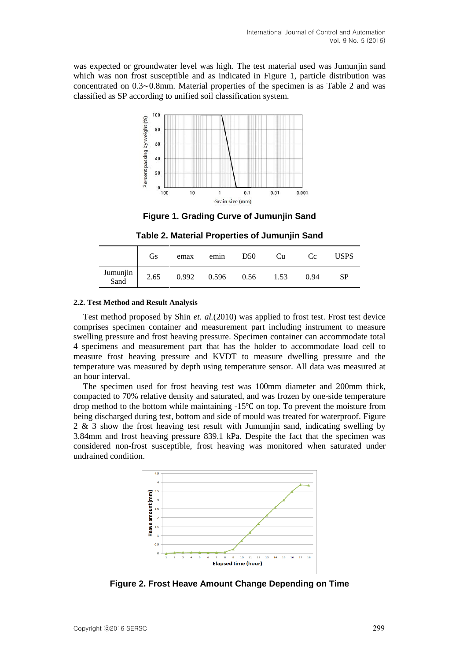was expected or groundwater level was high. The test material used was Jumunjin sand which was non frost susceptible and as indicated in Figure 1, particle distribution was concentrated on 0.3∼0.8mm. Material properties of the specimen is as Table 2 and was classified as SP according to unified soil classification system.



**Figure 1. Grading Curve of Jumunjin Sand**

**Table 2. Material Properties of Jumunjin Sand**

|                  | Gs   | emax  | emin  | D50  | <b>Cu</b> | Cc.  | USPS |
|------------------|------|-------|-------|------|-----------|------|------|
| Jumunjin<br>Sand | 2.65 | 0.992 | 0.596 | 0.56 | 1.53      | 0.94 | SP   |

### **2.2. Test Method and Result Analysis**

Test method proposed by Shin *et. al.*(2010) was applied to frost test. Frost test device comprises specimen container and measurement part including instrument to measure swelling pressure and frost heaving pressure. Specimen container can accommodate total 4 specimens and measurement part that has the holder to accommodate load cell to measure frost heaving pressure and KVDT to measure dwelling pressure and the temperature was measured by depth using temperature sensor. All data was measured at an hour interval.

The specimen used for frost heaving test was 100mm diameter and 200mm thick, compacted to 70% relative density and saturated, and was frozen by one-side temperature drop method to the bottom while maintaining -15℃ on top. To prevent the moisture from being discharged during test, bottom and side of mould was treated for waterproof. Figure 2 & 3 show the frost heaving test result with Jumumjin sand, indicating swelling by 3.84mm and frost heaving pressure 839.1 kPa. Despite the fact that the specimen was considered non-frost susceptible, frost heaving was monitored when saturated under undrained condition.



**Figure 2. Frost Heave Amount Change Depending on Time**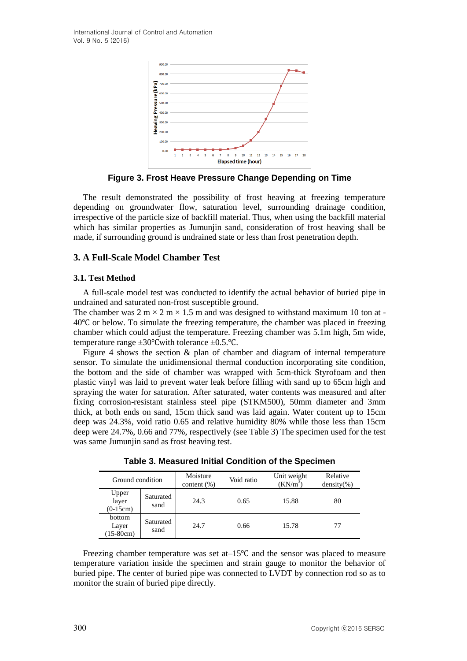International Journal of Control and Automation Vol. 9 No. 5 (2016)



**Figure 3. Frost Heave Pressure Change Depending on Time**

The result demonstrated the possibility of frost heaving at freezing temperature depending on groundwater flow, saturation level, surrounding drainage condition, irrespective of the particle size of backfill material. Thus, when using the backfill material which has similar properties as Jumunjin sand, consideration of frost heaving shall be made, if surrounding ground is undrained state or less than frost penetration depth.

### **3. A Full-Scale Model Chamber Test**

#### **3.1. Test Method**

A full-scale model test was conducted to identify the actual behavior of buried pipe in undrained and saturated non-frost susceptible ground.

The chamber was  $2 \text{ m} \times 2 \text{ m} \times 1.5 \text{ m}$  and was designed to withstand maximum 10 ton at -40℃ or below. To simulate the freezing temperature, the chamber was placed in freezing chamber which could adjust the temperature. Freezing chamber was 5.1m high, 5m wide, temperature range ±30℃with tolerance ±0.5.℃.

Figure 4 shows the section  $\&$  plan of chamber and diagram of internal temperature sensor. To simulate the unidimensional thermal conduction incorporating site condition, the bottom and the side of chamber was wrapped with 5cm-thick Styrofoam and then plastic vinyl was laid to prevent water leak before filling with sand up to 65cm high and spraying the water for saturation. After saturated, water contents was measured and after fixing corrosion-resistant stainless steel pipe (STKM500), 50mm diameter and 3mm thick, at both ends on sand, 15cm thick sand was laid again. Water content up to 15cm deep was 24.3%, void ratio 0.65 and relative humidity 80% while those less than 15cm deep were 24.7%, 0.66 and 77%, respectively (see Table 3) The specimen used for the test was same Jumunjin sand as frost heaving test.

| Ground condition               |                   | Moisture<br>content $(\% )$ | Void ratio | Unit weight<br>$(KN/m^3)$ | Relative<br>$density(\% )$ |
|--------------------------------|-------------------|-----------------------------|------------|---------------------------|----------------------------|
| Upper<br>layer<br>$(0-15cm)$   | Saturated<br>sand | 24.3                        | 0.65       | 15.88                     | 80                         |
| bottom<br>Layer<br>$(15-80cm)$ | Saturated<br>sand | 24.7                        | 0.66       | 15.78                     | 77                         |

**Table 3. Measured Initial Condition of the Specimen**

Freezing chamber temperature was set at–15℃ and the sensor was placed to measure temperature variation inside the specimen and strain gauge to monitor the behavior of buried pipe. The center of buried pipe was connected to LVDT by connection rod so as to monitor the strain of buried pipe directly.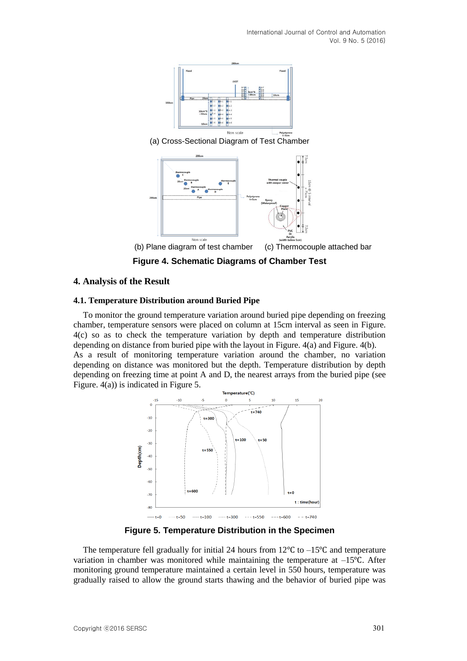International Journal of Control and Automation Vol. 9 No. 5 (2016)



(a) Cross-Sectional Diagram of Test Chamber



(b) Plane diagram of test chamber (c) Thermocouple attached bar

**Figure 4. Schematic Diagrams of Chamber Test**

### **4. Analysis of the Result**

#### **4.1. Temperature Distribution around Buried Pipe**

To monitor the ground temperature variation around buried pipe depending on freezing chamber, temperature sensors were placed on column at 15cm interval as seen in Figure. 4(c) so as to check the temperature variation by depth and temperature distribution depending on distance from buried pipe with the layout in Figure. 4(a) and Figure. 4(b). As a result of monitoring temperature variation around the chamber, no variation depending on distance was monitored but the depth. Temperature distribution by depth depending on freezing time at point A and D, the nearest arrays from the buried pipe (see Figure. 4(a)) is indicated in Figure 5.



**Figure 5. Temperature Distribution in the Specimen**

The temperature fell gradually for initial 24 hours from 12℃ to –15℃ and temperature variation in chamber was monitored while maintaining the temperature at –15℃. After monitoring ground temperature maintained a certain level in 550 hours, temperature was gradually raised to allow the ground starts thawing and the behavior of buried pipe was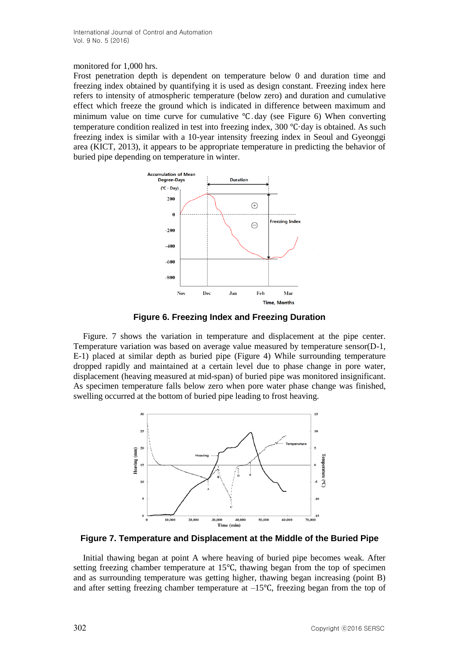### monitored for 1,000 hrs.

Frost penetration depth is dependent on temperature below 0 and duration time and freezing index obtained by quantifying it is used as design constant. Freezing index here refers to intensity of atmospheric temperature (below zero) and duration and cumulative effect which freeze the ground which is indicated in difference between maximum and minimum value on time curve for cumulative ℃․day (see Figure 6) When converting temperature condition realized in test into freezing index, 300 ℃·day is obtained. As such freezing index is similar with a 10-year intensity freezing index in Seoul and Gyeonggi area (KICT, 2013), it appears to be appropriate temperature in predicting the behavior of buried pipe depending on temperature in winter.



**Figure 6. Freezing Index and Freezing Duration**

Figure. 7 shows the variation in temperature and displacement at the pipe center. Temperature variation was based on average value measured by temperature sensor(D-1, E-1) placed at similar depth as buried pipe (Figure 4) While surrounding temperature dropped rapidly and maintained at a certain level due to phase change in pore water, displacement (heaving measured at mid-span) of buried pipe was monitored insignificant. As specimen temperature falls below zero when pore water phase change was finished, swelling occurred at the bottom of buried pipe leading to frost heaving.



**Figure 7. Temperature and Displacement at the Middle of the Buried Pipe**

Initial thawing began at point A where heaving of buried pipe becomes weak. After setting freezing chamber temperature at 15℃, thawing began from the top of specimen and as surrounding temperature was getting higher, thawing began increasing (point B) and after setting freezing chamber temperature at –15℃, freezing began from the top of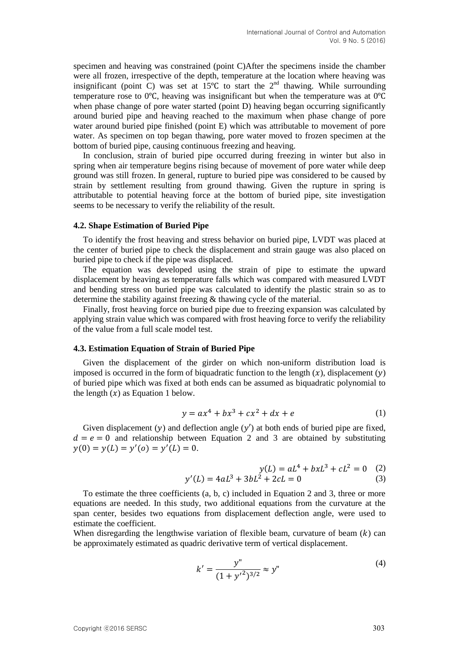specimen and heaving was constrained (point C)After the specimens inside the chamber were all frozen, irrespective of the depth, temperature at the location where heaving was insignificant (point C) was set at  $15^{\circ}$ C to start the  $2^{\text{nd}}$  thawing. While surrounding temperature rose to 0℃, heaving was insignificant but when the temperature was at 0℃ when phase change of pore water started (point D) heaving began occurring significantly around buried pipe and heaving reached to the maximum when phase change of pore water around buried pipe finished (point E) which was attributable to movement of pore water. As specimen on top began thawing, pore water moved to frozen specimen at the bottom of buried pipe, causing continuous freezing and heaving.

In conclusion, strain of buried pipe occurred during freezing in winter but also in spring when air temperature begins rising because of movement of pore water while deep ground was still frozen. In general, rupture to buried pipe was considered to be caused by strain by settlement resulting from ground thawing. Given the rupture in spring is attributable to potential heaving force at the bottom of buried pipe, site investigation seems to be necessary to verify the reliability of the result.

#### **4.2. Shape Estimation of Buried Pipe**

To identify the frost heaving and stress behavior on buried pipe, LVDT was placed at the center of buried pipe to check the displacement and strain gauge was also placed on buried pipe to check if the pipe was displaced.

The equation was developed using the strain of pipe to estimate the upward displacement by heaving as temperature falls which was compared with measured LVDT and bending stress on buried pipe was calculated to identify the plastic strain so as to determine the stability against freezing & thawing cycle of the material.

Finally, frost heaving force on buried pipe due to freezing expansion was calculated by applying strain value which was compared with frost heaving force to verify the reliability of the value from a full scale model test.

#### **4.3. Estimation Equation of Strain of Buried Pipe**

Given the displacement of the girder on which non-uniform distribution load is imposed is occurred in the form of biquadratic function to the length  $(x)$ , displacement  $(y)$ of buried pipe which was fixed at both ends can be assumed as biquadratic polynomial to the length  $(x)$  as Equation 1 below.

$$
y = ax^4 + bx^3 + cx^2 + dx + e
$$
 (1)

Given displacement (y) and deflection angle (y') at both ends of buried pipe are fixed,  $d = e = 0$  and relationship between Equation 2 and 3 are obtained by substituting  $y(0) = y(L) = y'(0) = y'(L) = 0.$ 

$$
y(L) = aL4 + bxL3 + cL2 = 0
$$
 (2)  

$$
y'(L) = 4aL3 + 3bL2 + 2cL = 0
$$
 (3)

To estimate the three coefficients (a, b, c) included in Equation 2 and 3, three or more equations are needed. In this study, two additional equations from the curvature at the span center, besides two equations from displacement deflection angle, were used to estimate the coefficient.

When disregarding the lengthwise variation of flexible beam, curvature of beam  $(k)$  can be approximately estimated as quadric derivative term of vertical displacement.

$$
k' = \frac{y''}{(1 + {y'}^2)^{3/2}} \approx y''
$$
 (4)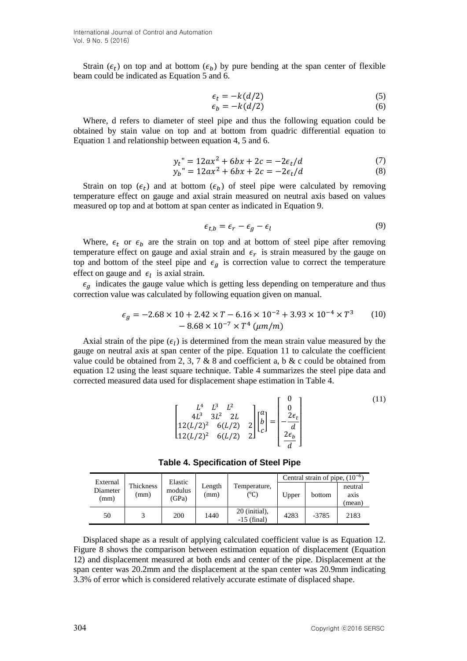International Journal of Control and Automation Vol. 9 No. 5 (2016)

Strain ( $\epsilon_t$ ) on top and at bottom ( $\epsilon_b$ ) by pure bending at the span center of flexible beam could be indicated as Equation 5 and 6.

$$
\epsilon_t = -k(d/2)
$$
  
\n
$$
\epsilon_b = -k(d/2)
$$
\n(5)

Where, d refers to diameter of steel pipe and thus the following equation could be obtained by stain value on top and at bottom from quadric differential equation to Equation 1 and relationship between equation 4, 5 and 6.

$$
y_t'' = 12ax^2 + 6bx + 2c = -2\epsilon_t/d
$$
 (7)

$$
y_b'' = 12ax^2 + 6bx + 2c = -2\epsilon_t/d
$$
 (8)

Strain on top  $(\epsilon_t)$  and at bottom  $(\epsilon_b)$  of steel pipe were calculated by removing temperature effect on gauge and axial strain measured on neutral axis based on values measured op top and at bottom at span center as indicated in Equation 9.

$$
\epsilon_{t,b} = \epsilon_r - \epsilon_g - \epsilon_l \tag{9}
$$

Where,  $\epsilon_t$  or  $\epsilon_b$  are the strain on top and at bottom of steel pipe after removing temperature effect on gauge and axial strain and  $\epsilon_r$  is strain measured by the gauge on top and bottom of the steel pipe and  $\epsilon_q$  is correction value to correct the temperature effect on gauge and  $\epsilon_l$  is axial strain.

 $\epsilon_g$  indicates the gauge value which is getting less depending on temperature and thus correction value was calculated by following equation given on manual.

$$
\epsilon_g = -2.68 \times 10 + 2.42 \times T - 6.16 \times 10^{-2} + 3.93 \times 10^{-4} \times T^3 \tag{10}
$$
  
- 8.68 × 10<sup>-7</sup> × T<sup>4</sup> (*µm/m*)

Axial strain of the pipe  $(\epsilon_l)$  is determined from the mean strain value measured by the gauge on neutral axis at span center of the pipe. Equation 11 to calculate the coefficient value could be obtained from 2, 3, 7 & 8 and coefficient a, b & c could be obtained from equation 12 using the least square technique. Table 4 summarizes the steel pipe data and corrected measured data used for displacement shape estimation in Table 4.

$$
\begin{bmatrix} L^4 & L^3 & L^2 \\ 4L^3 & 3L^2 & 2L \\ 12(L/2)^2 & 6(L/2) & 2 \\ 12(L/2)^2 & 6(L/2) & 2 \end{bmatrix} \begin{bmatrix} a \\ b \\ c \end{bmatrix} = \begin{bmatrix} 0 \\ 0 \\ -\frac{2\epsilon_t}{d} \\ \frac{2\epsilon_b}{d} \end{bmatrix}
$$
 (11)

**Table 4. Specification of Steel Pipe**

| External<br>Diameter<br>(mm) | Thickness<br>(mm | Elastic<br>modulus<br>(GPa) | Length<br>(mm) | Temperature.<br>$^{\circ}$ C)  | Central strain of pipe, $(10^{-6})$ |         |                                        |
|------------------------------|------------------|-----------------------------|----------------|--------------------------------|-------------------------------------|---------|----------------------------------------|
|                              |                  |                             |                |                                | Upper                               | bottom  | neutral<br>ax <sub>1</sub> s<br>(mean) |
| 50                           |                  | 200                         | 1440           | 20 (initial),<br>$-15$ (final) | 4283                                | $-3785$ | 2183                                   |

Displaced shape as a result of applying calculated coefficient value is as Equation 12. Figure 8 shows the comparison between estimation equation of displacement (Equation 12) and displacement measured at both ends and center of the pipe. Displacement at the span center was 20.2mm and the displacement at the span center was 20.9mm indicating 3.3% of error which is considered relatively accurate estimate of displaced shape.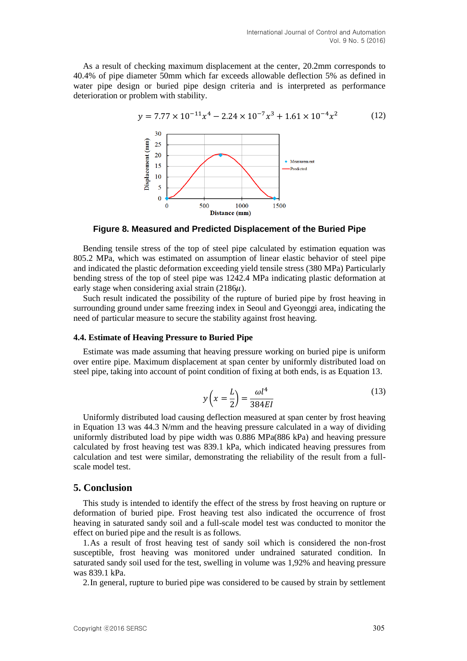As a result of checking maximum displacement at the center, 20.2mm corresponds to 40.4% of pipe diameter 50mm which far exceeds allowable deflection 5% as defined in water pipe design or buried pipe design criteria and is interpreted as performance deterioration or problem with stability.



**Figure 8. Measured and Predicted Displacement of the Buried Pipe**

Bending tensile stress of the top of steel pipe calculated by estimation equation was 805.2 MPa, which was estimated on assumption of linear elastic behavior of steel pipe and indicated the plastic deformation exceeding yield tensile stress (380 MPa) Particularly bending stress of the top of steel pipe was 1242.4 MPa indicating plastic deformation at early stage when considering axial strain  $(2186\mu)$ .

Such result indicated the possibility of the rupture of buried pipe by frost heaving in surrounding ground under same freezing index in Seoul and Gyeonggi area, indicating the need of particular measure to secure the stability against frost heaving.

#### **4.4. Estimate of Heaving Pressure to Buried Pipe**

Estimate was made assuming that heaving pressure working on buried pipe is uniform over entire pipe. Maximum displacement at span center by uniformly distributed load on steel pipe, taking into account of point condition of fixing at both ends, is as Equation 13.

$$
y\left(x = \frac{L}{2}\right) = \frac{\omega l^4}{384EI} \tag{13}
$$

Uniformly distributed load causing deflection measured at span center by frost heaving in Equation 13 was 44.3 N/mm and the heaving pressure calculated in a way of dividing uniformly distributed load by pipe width was 0.886 MPa(886 kPa) and heaving pressure calculated by frost heaving test was 839.1 kPa, which indicated heaving pressures from calculation and test were similar, demonstrating the reliability of the result from a fullscale model test.

# **5. Conclusion**

This study is intended to identify the effect of the stress by frost heaving on rupture or deformation of buried pipe. Frost heaving test also indicated the occurrence of frost heaving in saturated sandy soil and a full-scale model test was conducted to monitor the effect on buried pipe and the result is as follows.

1.As a result of frost heaving test of sandy soil which is considered the non-frost susceptible, frost heaving was monitored under undrained saturated condition. In saturated sandy soil used for the test, swelling in volume was 1,92% and heaving pressure was 839.1 kPa.

2.In general, rupture to buried pipe was considered to be caused by strain by settlement